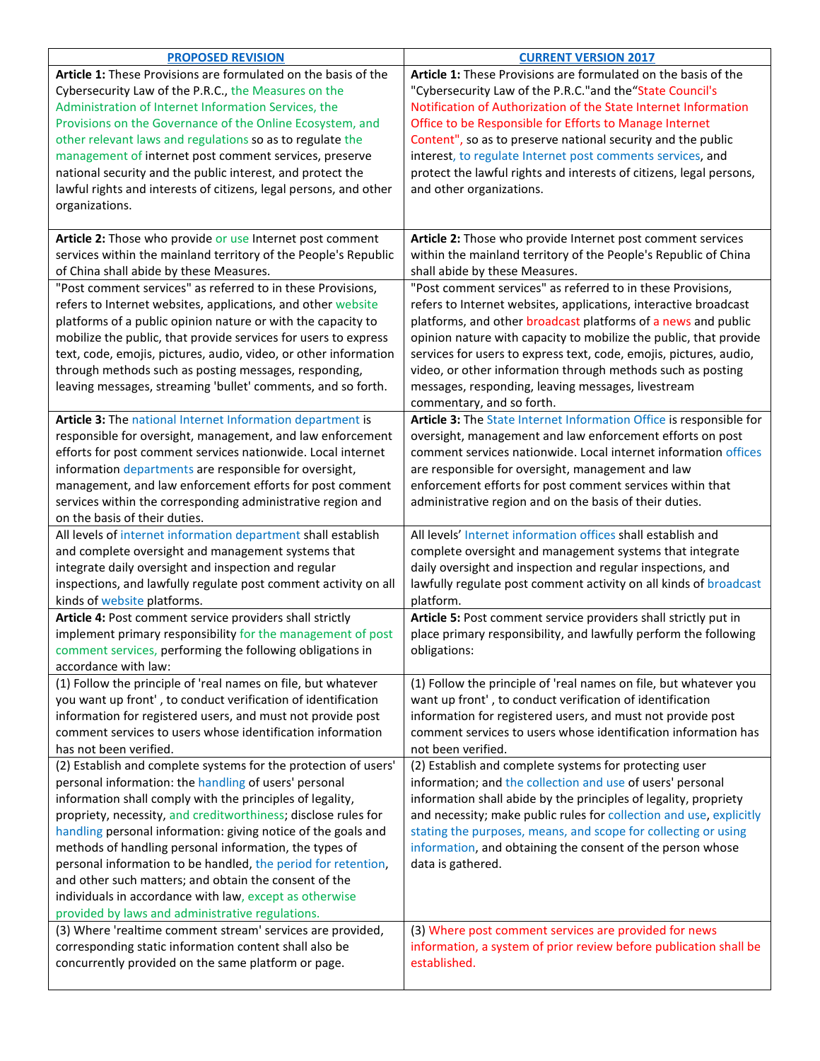| <b>PROPOSED REVISION</b>                                                                                                                                                                                                                                                                                                                                                                                                                                                                                                                                                                                                    | <b>CURRENT VERSION 2017</b>                                                                                                                                                                                                                                                                                                                                                                                                                                                                   |
|-----------------------------------------------------------------------------------------------------------------------------------------------------------------------------------------------------------------------------------------------------------------------------------------------------------------------------------------------------------------------------------------------------------------------------------------------------------------------------------------------------------------------------------------------------------------------------------------------------------------------------|-----------------------------------------------------------------------------------------------------------------------------------------------------------------------------------------------------------------------------------------------------------------------------------------------------------------------------------------------------------------------------------------------------------------------------------------------------------------------------------------------|
| Article 1: These Provisions are formulated on the basis of the<br>Cybersecurity Law of the P.R.C., the Measures on the<br>Administration of Internet Information Services, the<br>Provisions on the Governance of the Online Ecosystem, and                                                                                                                                                                                                                                                                                                                                                                                 | Article 1: These Provisions are formulated on the basis of the<br>"Cybersecurity Law of the P.R.C."and the "State Council's<br>Notification of Authorization of the State Internet Information<br>Office to be Responsible for Efforts to Manage Internet                                                                                                                                                                                                                                     |
| other relevant laws and regulations so as to regulate the<br>management of internet post comment services, preserve<br>national security and the public interest, and protect the<br>lawful rights and interests of citizens, legal persons, and other<br>organizations.                                                                                                                                                                                                                                                                                                                                                    | Content", so as to preserve national security and the public<br>interest, to regulate Internet post comments services, and<br>protect the lawful rights and interests of citizens, legal persons,<br>and other organizations.                                                                                                                                                                                                                                                                 |
| Article 2: Those who provide or use Internet post comment<br>services within the mainland territory of the People's Republic<br>of China shall abide by these Measures.                                                                                                                                                                                                                                                                                                                                                                                                                                                     | Article 2: Those who provide Internet post comment services<br>within the mainland territory of the People's Republic of China<br>shall abide by these Measures.                                                                                                                                                                                                                                                                                                                              |
| "Post comment services" as referred to in these Provisions,<br>refers to Internet websites, applications, and other website<br>platforms of a public opinion nature or with the capacity to<br>mobilize the public, that provide services for users to express<br>text, code, emojis, pictures, audio, video, or other information<br>through methods such as posting messages, responding,<br>leaving messages, streaming 'bullet' comments, and so forth.                                                                                                                                                                 | "Post comment services" as referred to in these Provisions,<br>refers to Internet websites, applications, interactive broadcast<br>platforms, and other broadcast platforms of a news and public<br>opinion nature with capacity to mobilize the public, that provide<br>services for users to express text, code, emojis, pictures, audio,<br>video, or other information through methods such as posting<br>messages, responding, leaving messages, livestream<br>commentary, and so forth. |
| Article 3: The national Internet Information department is<br>responsible for oversight, management, and law enforcement<br>efforts for post comment services nationwide. Local internet<br>information departments are responsible for oversight,<br>management, and law enforcement efforts for post comment<br>services within the corresponding administrative region and<br>on the basis of their duties.                                                                                                                                                                                                              | Article 3: The State Internet Information Office is responsible for<br>oversight, management and law enforcement efforts on post<br>comment services nationwide. Local internet information offices<br>are responsible for oversight, management and law<br>enforcement efforts for post comment services within that<br>administrative region and on the basis of their duties.                                                                                                              |
| All levels of internet information department shall establish<br>and complete oversight and management systems that<br>integrate daily oversight and inspection and regular<br>inspections, and lawfully regulate post comment activity on all<br>kinds of website platforms.                                                                                                                                                                                                                                                                                                                                               | All levels' Internet information offices shall establish and<br>complete oversight and management systems that integrate<br>daily oversight and inspection and regular inspections, and<br>lawfully regulate post comment activity on all kinds of broadcast<br>platform.                                                                                                                                                                                                                     |
| Article 4: Post comment service providers shall strictly<br>implement primary responsibility for the management of post<br>comment services, performing the following obligations in<br>accordance with law:                                                                                                                                                                                                                                                                                                                                                                                                                | Article 5: Post comment service providers shall strictly put in<br>place primary responsibility, and lawfully perform the following<br>obligations:                                                                                                                                                                                                                                                                                                                                           |
| (1) Follow the principle of 'real names on file, but whatever<br>you want up front', to conduct verification of identification<br>information for registered users, and must not provide post<br>comment services to users whose identification information<br>has not been verified.                                                                                                                                                                                                                                                                                                                                       | (1) Follow the principle of 'real names on file, but whatever you<br>want up front', to conduct verification of identification<br>information for registered users, and must not provide post<br>comment services to users whose identification information has<br>not been verified.                                                                                                                                                                                                         |
| (2) Establish and complete systems for the protection of users'<br>personal information: the handling of users' personal<br>information shall comply with the principles of legality,<br>propriety, necessity, and creditworthiness; disclose rules for<br>handling personal information: giving notice of the goals and<br>methods of handling personal information, the types of<br>personal information to be handled, the period for retention,<br>and other such matters; and obtain the consent of the<br>individuals in accordance with law, except as otherwise<br>provided by laws and administrative regulations. | (2) Establish and complete systems for protecting user<br>information; and the collection and use of users' personal<br>information shall abide by the principles of legality, propriety<br>and necessity; make public rules for collection and use, explicitly<br>stating the purposes, means, and scope for collecting or using<br>information, and obtaining the consent of the person whose<br>data is gathered.                                                                          |
| (3) Where 'realtime comment stream' services are provided,<br>corresponding static information content shall also be<br>concurrently provided on the same platform or page.                                                                                                                                                                                                                                                                                                                                                                                                                                                 | (3) Where post comment services are provided for news<br>information, a system of prior review before publication shall be<br>established.                                                                                                                                                                                                                                                                                                                                                    |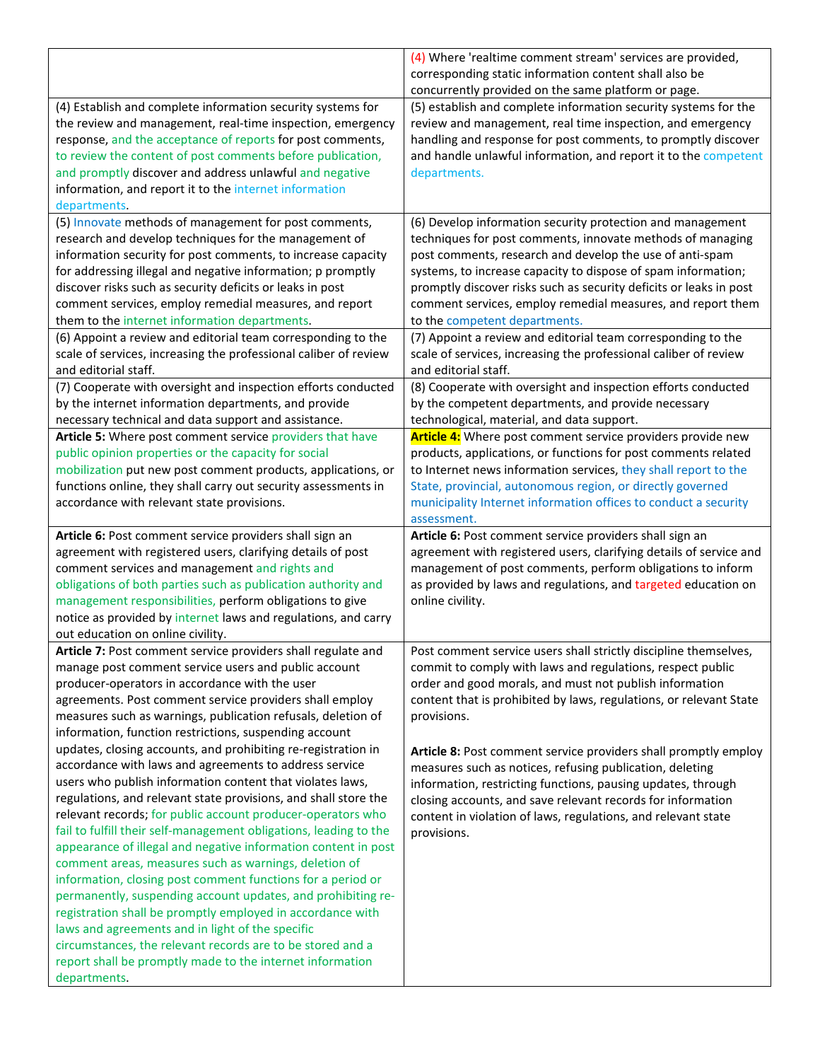|                                                                                                                                     | (4) Where 'realtime comment stream' services are provided,<br>corresponding static information content shall also be |
|-------------------------------------------------------------------------------------------------------------------------------------|----------------------------------------------------------------------------------------------------------------------|
|                                                                                                                                     | concurrently provided on the same platform or page.                                                                  |
| (4) Establish and complete information security systems for                                                                         | (5) establish and complete information security systems for the                                                      |
| the review and management, real-time inspection, emergency                                                                          | review and management, real time inspection, and emergency                                                           |
| response, and the acceptance of reports for post comments,<br>to review the content of post comments before publication,            | handling and response for post comments, to promptly discover                                                        |
| and promptly discover and address unlawful and negative                                                                             | and handle unlawful information, and report it to the competent<br>departments.                                      |
| information, and report it to the internet information                                                                              |                                                                                                                      |
| departments.                                                                                                                        |                                                                                                                      |
| (5) Innovate methods of management for post comments,                                                                               | (6) Develop information security protection and management                                                           |
| research and develop techniques for the management of                                                                               | techniques for post comments, innovate methods of managing                                                           |
| information security for post comments, to increase capacity                                                                        | post comments, research and develop the use of anti-spam                                                             |
| for addressing illegal and negative information; p promptly                                                                         | systems, to increase capacity to dispose of spam information;                                                        |
| discover risks such as security deficits or leaks in post                                                                           | promptly discover risks such as security deficits or leaks in post                                                   |
| comment services, employ remedial measures, and report                                                                              | comment services, employ remedial measures, and report them                                                          |
| them to the internet information departments.                                                                                       | to the competent departments.                                                                                        |
| (6) Appoint a review and editorial team corresponding to the                                                                        | (7) Appoint a review and editorial team corresponding to the                                                         |
| scale of services, increasing the professional caliber of review                                                                    | scale of services, increasing the professional caliber of review                                                     |
| and editorial staff.                                                                                                                | and editorial staff.                                                                                                 |
| (7) Cooperate with oversight and inspection efforts conducted<br>by the internet information departments, and provide               | (8) Cooperate with oversight and inspection efforts conducted<br>by the competent departments, and provide necessary |
| necessary technical and data support and assistance.                                                                                | technological, material, and data support.                                                                           |
| Article 5: Where post comment service providers that have                                                                           | Article 4: Where post comment service providers provide new                                                          |
| public opinion properties or the capacity for social                                                                                | products, applications, or functions for post comments related                                                       |
| mobilization put new post comment products, applications, or                                                                        | to Internet news information services, they shall report to the                                                      |
| functions online, they shall carry out security assessments in                                                                      | State, provincial, autonomous region, or directly governed                                                           |
| accordance with relevant state provisions.                                                                                          | municipality Internet information offices to conduct a security                                                      |
|                                                                                                                                     |                                                                                                                      |
|                                                                                                                                     | assessment.                                                                                                          |
| Article 6: Post comment service providers shall sign an                                                                             | Article 6: Post comment service providers shall sign an                                                              |
| agreement with registered users, clarifying details of post                                                                         | agreement with registered users, clarifying details of service and                                                   |
| comment services and management and rights and                                                                                      | management of post comments, perform obligations to inform                                                           |
| obligations of both parties such as publication authority and                                                                       | as provided by laws and regulations, and targeted education on                                                       |
| management responsibilities, perform obligations to give                                                                            | online civility.                                                                                                     |
| notice as provided by internet laws and regulations, and carry                                                                      |                                                                                                                      |
| out education on online civility.<br>Article 7: Post comment service providers shall regulate and                                   | Post comment service users shall strictly discipline themselves,                                                     |
| manage post comment service users and public account                                                                                | commit to comply with laws and regulations, respect public                                                           |
| producer-operators in accordance with the user                                                                                      | order and good morals, and must not publish information                                                              |
| agreements. Post comment service providers shall employ                                                                             | content that is prohibited by laws, regulations, or relevant State                                                   |
| measures such as warnings, publication refusals, deletion of                                                                        | provisions.                                                                                                          |
| information, function restrictions, suspending account                                                                              |                                                                                                                      |
| updates, closing accounts, and prohibiting re-registration in                                                                       | Article 8: Post comment service providers shall promptly employ                                                      |
| accordance with laws and agreements to address service                                                                              | measures such as notices, refusing publication, deleting                                                             |
| users who publish information content that violates laws,                                                                           | information, restricting functions, pausing updates, through                                                         |
| regulations, and relevant state provisions, and shall store the                                                                     | closing accounts, and save relevant records for information                                                          |
| relevant records; for public account producer-operators who                                                                         | content in violation of laws, regulations, and relevant state                                                        |
| fail to fulfill their self-management obligations, leading to the<br>appearance of illegal and negative information content in post | provisions.                                                                                                          |
| comment areas, measures such as warnings, deletion of                                                                               |                                                                                                                      |
| information, closing post comment functions for a period or                                                                         |                                                                                                                      |
| permanently, suspending account updates, and prohibiting re-                                                                        |                                                                                                                      |
| registration shall be promptly employed in accordance with                                                                          |                                                                                                                      |
| laws and agreements and in light of the specific                                                                                    |                                                                                                                      |
| circumstances, the relevant records are to be stored and a                                                                          |                                                                                                                      |
| report shall be promptly made to the internet information<br>departments.                                                           |                                                                                                                      |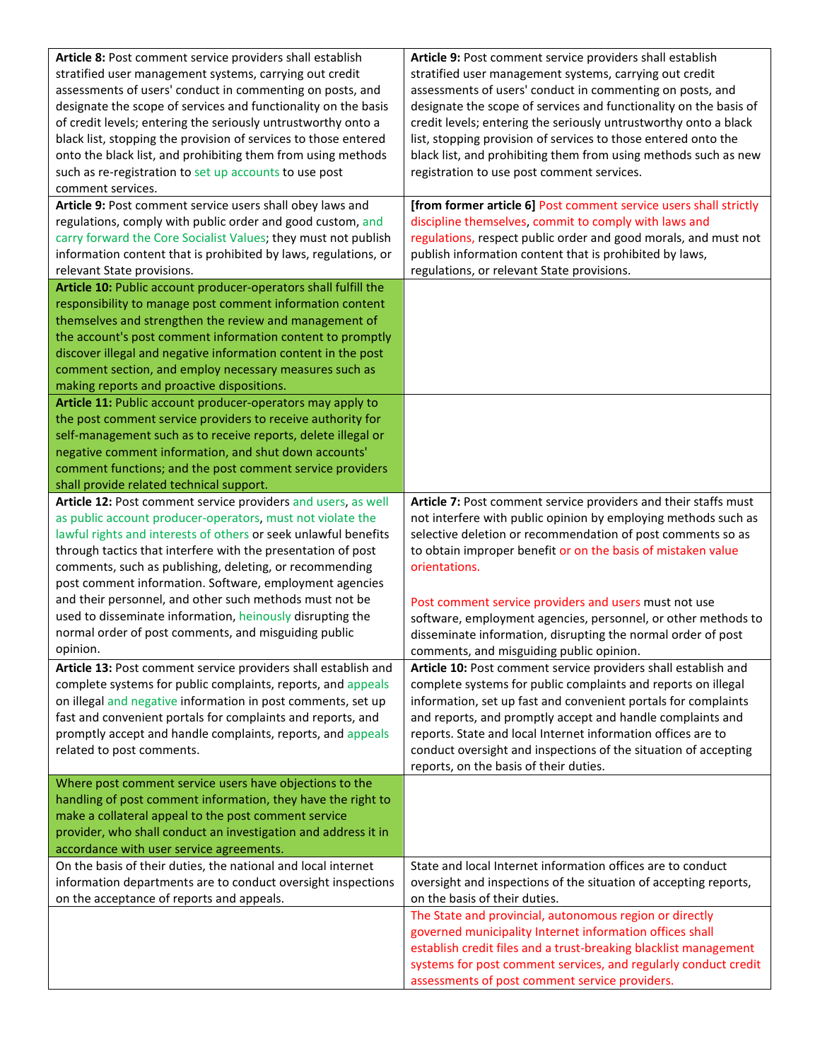| Article 8: Post comment service providers shall establish       | Article 9: Post comment service providers shall establish         |
|-----------------------------------------------------------------|-------------------------------------------------------------------|
| stratified user management systems, carrying out credit         | stratified user management systems, carrying out credit           |
| assessments of users' conduct in commenting on posts, and       | assessments of users' conduct in commenting on posts, and         |
| designate the scope of services and functionality on the basis  | designate the scope of services and functionality on the basis of |
| of credit levels; entering the seriously untrustworthy onto a   | credit levels; entering the seriously untrustworthy onto a black  |
| black list, stopping the provision of services to those entered | list, stopping provision of services to those entered onto the    |
| onto the black list, and prohibiting them from using methods    | black list, and prohibiting them from using methods such as new   |
| such as re-registration to set up accounts to use post          | registration to use post comment services.                        |
| comment services.                                               |                                                                   |
| Article 9: Post comment service users shall obey laws and       | [from former article 6] Post comment service users shall strictly |
| regulations, comply with public order and good custom, and      | discipline themselves, commit to comply with laws and             |
| carry forward the Core Socialist Values; they must not publish  | regulations, respect public order and good morals, and must not   |
| information content that is prohibited by laws, regulations, or | publish information content that is prohibited by laws,           |
| relevant State provisions.                                      | regulations, or relevant State provisions.                        |
| Article 10: Public account producer-operators shall fulfill the |                                                                   |
| responsibility to manage post comment information content       |                                                                   |
| themselves and strengthen the review and management of          |                                                                   |
| the account's post comment information content to promptly      |                                                                   |
| discover illegal and negative information content in the post   |                                                                   |
| comment section, and employ necessary measures such as          |                                                                   |
| making reports and proactive dispositions.                      |                                                                   |
| Article 11: Public account producer-operators may apply to      |                                                                   |
| the post comment service providers to receive authority for     |                                                                   |
| self-management such as to receive reports, delete illegal or   |                                                                   |
| negative comment information, and shut down accounts'           |                                                                   |
| comment functions; and the post comment service providers       |                                                                   |
| shall provide related technical support.                        |                                                                   |
| Article 12: Post comment service providers and users, as well   | Article 7: Post comment service providers and their staffs must   |
| as public account producer-operators, must not violate the      | not interfere with public opinion by employing methods such as    |
| lawful rights and interests of others or seek unlawful benefits | selective deletion or recommendation of post comments so as       |
| through tactics that interfere with the presentation of post    | to obtain improper benefit or on the basis of mistaken value      |
| comments, such as publishing, deleting, or recommending         | orientations.                                                     |
| post comment information. Software, employment agencies         |                                                                   |
| and their personnel, and other such methods must not be         | Post comment service providers and users must not use             |
| used to disseminate information, heinously disrupting the       | software, employment agencies, personnel, or other methods to     |
| normal order of post comments, and misguiding public            | disseminate information, disrupting the normal order of post      |
| opinion.                                                        | comments, and misguiding public opinion.                          |
| Article 13: Post comment service providers shall establish and  | Article 10: Post comment service providers shall establish and    |
| complete systems for public complaints, reports, and appeals    | complete systems for public complaints and reports on illegal     |
| on illegal and negative information in post comments, set up    | information, set up fast and convenient portals for complaints    |
| fast and convenient portals for complaints and reports, and     | and reports, and promptly accept and handle complaints and        |
| promptly accept and handle complaints, reports, and appeals     | reports. State and local Internet information offices are to      |
| related to post comments.                                       | conduct oversight and inspections of the situation of accepting   |
|                                                                 | reports, on the basis of their duties.                            |
| Where post comment service users have objections to the         |                                                                   |
| handling of post comment information, they have the right to    |                                                                   |
| make a collateral appeal to the post comment service            |                                                                   |
| provider, who shall conduct an investigation and address it in  |                                                                   |
| accordance with user service agreements.                        |                                                                   |
| On the basis of their duties, the national and local internet   | State and local Internet information offices are to conduct       |
| information departments are to conduct oversight inspections    | oversight and inspections of the situation of accepting reports,  |
| on the acceptance of reports and appeals.                       | on the basis of their duties.                                     |
|                                                                 | The State and provincial, autonomous region or directly           |
|                                                                 | governed municipality Internet information offices shall          |
|                                                                 | establish credit files and a trust-breaking blacklist management  |
|                                                                 | systems for post comment services, and regularly conduct credit   |
|                                                                 | assessments of post comment service providers.                    |